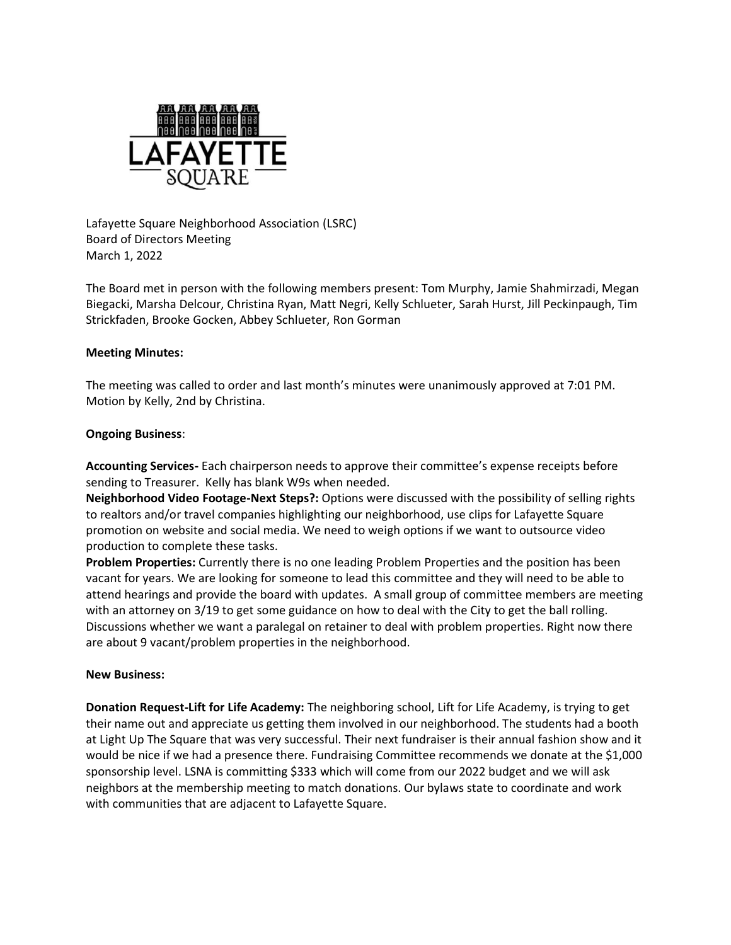

Lafayette Square Neighborhood Association (LSRC) Board of Directors Meeting March 1, 2022

The Board met in person with the following members present: Tom Murphy, Jamie Shahmirzadi, Megan Biegacki, Marsha Delcour, Christina Ryan, Matt Negri, Kelly Schlueter, Sarah Hurst, Jill Peckinpaugh, Tim Strickfaden, Brooke Gocken, Abbey Schlueter, Ron Gorman

# **Meeting Minutes:**

The meeting was called to order and last month's minutes were unanimously approved at 7:01 PM. Motion by Kelly, 2nd by Christina.

# **Ongoing Business**:

**Accounting Services-** Each chairperson needs to approve their committee's expense receipts before sending to Treasurer. Kelly has blank W9s when needed.

**Neighborhood Video Footage-Next Steps?:** Options were discussed with the possibility of selling rights to realtors and/or travel companies highlighting our neighborhood, use clips for Lafayette Square promotion on website and social media. We need to weigh options if we want to outsource video production to complete these tasks.

**Problem Properties:** Currently there is no one leading Problem Properties and the position has been vacant for years. We are looking for someone to lead this committee and they will need to be able to attend hearings and provide the board with updates. A small group of committee members are meeting with an attorney on 3/19 to get some guidance on how to deal with the City to get the ball rolling. Discussions whether we want a paralegal on retainer to deal with problem properties. Right now there are about 9 vacant/problem properties in the neighborhood.

### **New Business:**

**Donation Request-Lift for Life Academy:** The neighboring school, Lift for Life Academy, is trying to get their name out and appreciate us getting them involved in our neighborhood. The students had a booth at Light Up The Square that was very successful. Their next fundraiser is their annual fashion show and it would be nice if we had a presence there. Fundraising Committee recommends we donate at the \$1,000 sponsorship level. LSNA is committing \$333 which will come from our 2022 budget and we will ask neighbors at the membership meeting to match donations. Our bylaws state to coordinate and work with communities that are adjacent to Lafayette Square.